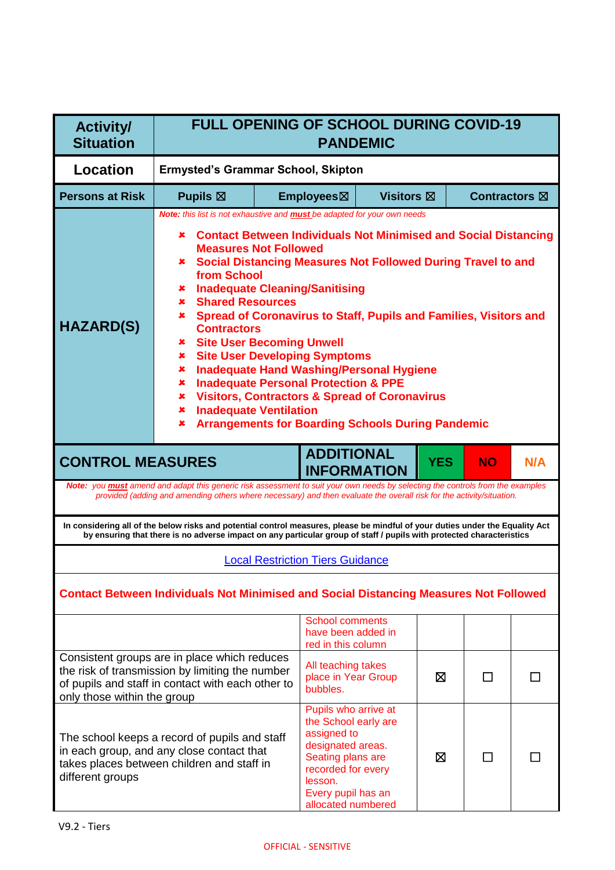| <b>Activity/</b><br><b>Situation</b>                                                                                                                                                                                                                                                                                                                                                                                                                                                                                                                                                                                                                                                                                                                                                                                                                                                           | <b>FULL OPENING OF SCHOOL DURING COVID-19</b><br><b>PANDEMIC</b>                                                                                                                                                                                              |                                           |                                                                                                                                                                                    |                   |            |                      |     |
|------------------------------------------------------------------------------------------------------------------------------------------------------------------------------------------------------------------------------------------------------------------------------------------------------------------------------------------------------------------------------------------------------------------------------------------------------------------------------------------------------------------------------------------------------------------------------------------------------------------------------------------------------------------------------------------------------------------------------------------------------------------------------------------------------------------------------------------------------------------------------------------------|---------------------------------------------------------------------------------------------------------------------------------------------------------------------------------------------------------------------------------------------------------------|-------------------------------------------|------------------------------------------------------------------------------------------------------------------------------------------------------------------------------------|-------------------|------------|----------------------|-----|
| <b>Location</b>                                                                                                                                                                                                                                                                                                                                                                                                                                                                                                                                                                                                                                                                                                                                                                                                                                                                                |                                                                                                                                                                                                                                                               | <b>Ermysted's Grammar School, Skipton</b> |                                                                                                                                                                                    |                   |            |                      |     |
| <b>Persons at Risk</b>                                                                                                                                                                                                                                                                                                                                                                                                                                                                                                                                                                                                                                                                                                                                                                                                                                                                         | Pupils $\boxtimes$                                                                                                                                                                                                                                            |                                           | Employees⊠                                                                                                                                                                         | <b>Visitors</b> ⊠ |            | <b>Contractors</b> ⊠ |     |
| <b>Note:</b> this list is not exhaustive and <b>must</b> be adapted for your own needs<br><b>Contact Between Individuals Not Minimised and Social Distancing</b><br>x<br><b>Measures Not Followed</b><br><b>* Social Distancing Measures Not Followed During Travel to and</b><br>from School<br><b>Inadequate Cleaning/Sanitising</b><br>x<br><b>Shared Resources</b><br>$\mathbf x$<br>* Spread of Coronavirus to Staff, Pupils and Families, Visitors and<br><b>HAZARD(S)</b><br><b>Contractors</b><br><b>Site User Becoming Unwell</b><br>$\mathbf x$<br><b>Site User Developing Symptoms</b><br>×<br><b>Inadequate Hand Washing/Personal Hygiene</b><br>×<br><b>Inadequate Personal Protection &amp; PPE</b><br>x<br><b>Visitors, Contractors &amp; Spread of Coronavirus</b><br>x<br><b>Inadequate Ventilation</b><br>×<br><b>Arrangements for Boarding Schools During Pandemic</b><br>× |                                                                                                                                                                                                                                                               |                                           |                                                                                                                                                                                    |                   |            |                      |     |
| <b>CONTROL MEASURES</b>                                                                                                                                                                                                                                                                                                                                                                                                                                                                                                                                                                                                                                                                                                                                                                                                                                                                        |                                                                                                                                                                                                                                                               |                                           | <b>ADDITIONAL</b><br><b>INFORMATION</b>                                                                                                                                            |                   | <b>YES</b> | <b>NO</b>            | N/A |
|                                                                                                                                                                                                                                                                                                                                                                                                                                                                                                                                                                                                                                                                                                                                                                                                                                                                                                | Note: you <b>must</b> amend and adapt this generic risk assessment to suit your own needs by selecting the controls from the examples<br>provided (adding and amending others where necessary) and then evaluate the overall risk for the activity/situation. |                                           |                                                                                                                                                                                    |                   |            |                      |     |
|                                                                                                                                                                                                                                                                                                                                                                                                                                                                                                                                                                                                                                                                                                                                                                                                                                                                                                | In considering all of the below risks and potential control measures, please be mindful of your duties under the Equality Act<br>by ensuring that there is no adverse impact on any particular group of staff / pupils with protected characteristics         |                                           |                                                                                                                                                                                    |                   |            |                      |     |
|                                                                                                                                                                                                                                                                                                                                                                                                                                                                                                                                                                                                                                                                                                                                                                                                                                                                                                |                                                                                                                                                                                                                                                               |                                           | <b>Local Restriction Tiers Guidance</b>                                                                                                                                            |                   |            |                      |     |
|                                                                                                                                                                                                                                                                                                                                                                                                                                                                                                                                                                                                                                                                                                                                                                                                                                                                                                | <b>Contact Between Individuals Not Minimised and Social Distancing Measures Not Followed</b>                                                                                                                                                                  |                                           |                                                                                                                                                                                    |                   |            |                      |     |
|                                                                                                                                                                                                                                                                                                                                                                                                                                                                                                                                                                                                                                                                                                                                                                                                                                                                                                |                                                                                                                                                                                                                                                               |                                           | <b>School comments</b><br>have been added in<br>red in this column                                                                                                                 |                   |            |                      |     |
| only those within the group                                                                                                                                                                                                                                                                                                                                                                                                                                                                                                                                                                                                                                                                                                                                                                                                                                                                    | Consistent groups are in place which reduces<br>the risk of transmission by limiting the number<br>of pupils and staff in contact with each other to                                                                                                          |                                           | All teaching takes<br>place in Year Group<br>bubbles.                                                                                                                              |                   | ⊠          | П                    |     |
| different groups                                                                                                                                                                                                                                                                                                                                                                                                                                                                                                                                                                                                                                                                                                                                                                                                                                                                               | The school keeps a record of pupils and staff<br>in each group, and any close contact that<br>takes places between children and staff in                                                                                                                      |                                           | Pupils who arrive at<br>the School early are<br>assigned to<br>designated areas.<br>Seating plans are<br>recorded for every<br>lesson.<br>Every pupil has an<br>allocated numbered |                   | ⊠          |                      |     |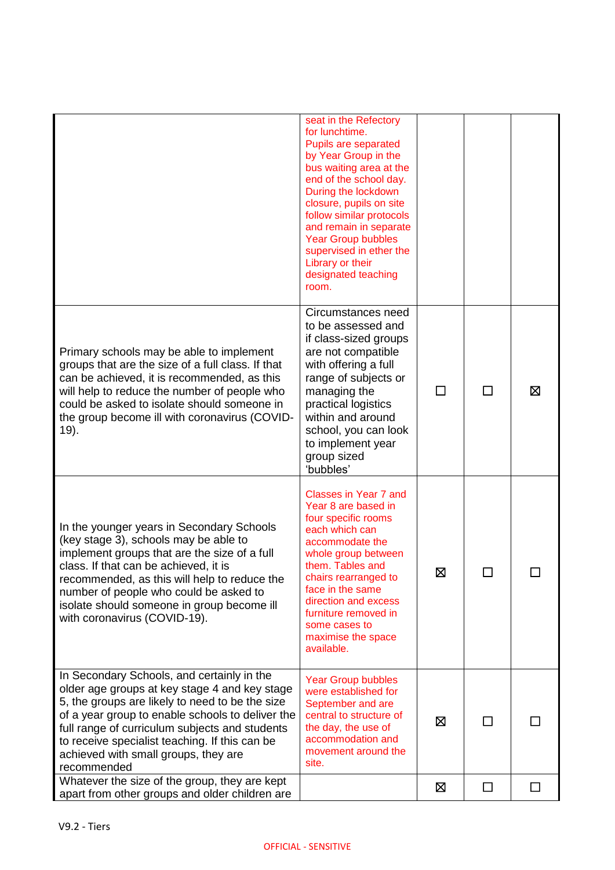|                                                                                                                                                                                                                                                                                                                                                               | seat in the Refectory<br>for lunchtime.<br>Pupils are separated<br>by Year Group in the<br>bus waiting area at the<br>end of the school day.<br>During the lockdown<br>closure, pupils on site<br>follow similar protocols<br>and remain in separate<br><b>Year Group bubbles</b><br>supervised in ether the<br>Library or their<br>designated teaching<br>room. |   |              |    |
|---------------------------------------------------------------------------------------------------------------------------------------------------------------------------------------------------------------------------------------------------------------------------------------------------------------------------------------------------------------|------------------------------------------------------------------------------------------------------------------------------------------------------------------------------------------------------------------------------------------------------------------------------------------------------------------------------------------------------------------|---|--------------|----|
| Primary schools may be able to implement<br>groups that are the size of a full class. If that<br>can be achieved, it is recommended, as this<br>will help to reduce the number of people who<br>could be asked to isolate should someone in<br>the group become ill with coronavirus (COVID-<br>19).                                                          | Circumstances need<br>to be assessed and<br>if class-sized groups<br>are not compatible<br>with offering a full<br>range of subjects or<br>managing the<br>practical logistics<br>within and around<br>school, you can look<br>to implement year<br>group sized<br>'bubbles'                                                                                     |   | $\mathsf{L}$ | 区  |
| In the younger years in Secondary Schools<br>(key stage 3), schools may be able to<br>implement groups that are the size of a full<br>class. If that can be achieved, it is<br>recommended, as this will help to reduce the<br>number of people who could be asked to<br>isolate should someone in group become ill<br>with coronavirus (COVID-19).           | <b>Classes in Year 7 and</b><br>Year 8 are based in<br>four specific rooms<br>each which can<br>accommodate the<br>whole group between<br>them. Tables and<br>chairs rearranged to<br>face in the same<br>direction and excess<br>furniture removed in<br>some cases to<br>maximise the space<br>available.                                                      | Ø |              |    |
| In Secondary Schools, and certainly in the<br>older age groups at key stage 4 and key stage<br>5, the groups are likely to need to be the size<br>of a year group to enable schools to deliver the<br>full range of curriculum subjects and students<br>to receive specialist teaching. If this can be<br>achieved with small groups, they are<br>recommended | <b>Year Group bubbles</b><br>were established for<br>September and are<br>central to structure of<br>the day, the use of<br>accommodation and<br>movement around the<br>site.                                                                                                                                                                                    | ⊠ | $\Box$       |    |
| Whatever the size of the group, they are kept<br>apart from other groups and older children are                                                                                                                                                                                                                                                               |                                                                                                                                                                                                                                                                                                                                                                  | ⊠ | $\Box$       | ΙI |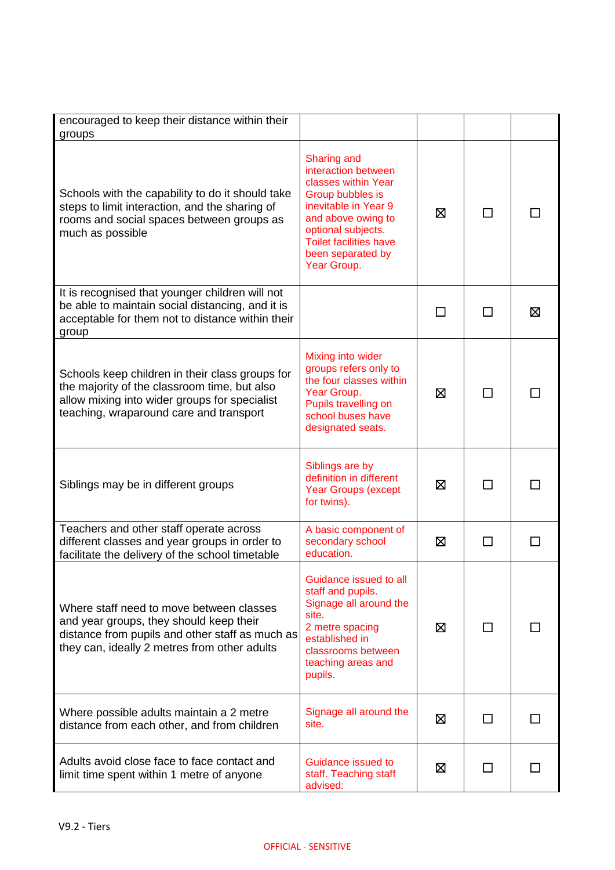| encouraged to keep their distance within their<br>groups                                                                                                                                    |                                                                                                                                                                                                                               |    |              |    |
|---------------------------------------------------------------------------------------------------------------------------------------------------------------------------------------------|-------------------------------------------------------------------------------------------------------------------------------------------------------------------------------------------------------------------------------|----|--------------|----|
| Schools with the capability to do it should take<br>steps to limit interaction, and the sharing of<br>rooms and social spaces between groups as<br>much as possible                         | <b>Sharing and</b><br>interaction between<br>classes within Year<br>Group bubbles is<br>inevitable in Year 9<br>and above owing to<br>optional subjects.<br><b>Toilet facilities have</b><br>been separated by<br>Year Group. | ⊠  |              |    |
| It is recognised that younger children will not<br>be able to maintain social distancing, and it is<br>acceptable for them not to distance within their<br>group                            |                                                                                                                                                                                                                               | ΙI | $\Box$       | ⊠  |
| Schools keep children in their class groups for<br>the majority of the classroom time, but also<br>allow mixing into wider groups for specialist<br>teaching, wraparound care and transport | Mixing into wider<br>groups refers only to<br>the four classes within<br>Year Group.<br>Pupils travelling on<br>school buses have<br>designated seats.                                                                        | ⊠  | ΙI           |    |
| Siblings may be in different groups                                                                                                                                                         | Siblings are by<br>definition in different<br><b>Year Groups (except</b><br>for twins).                                                                                                                                       | ⊠  |              |    |
| Teachers and other staff operate across<br>different classes and year groups in order to<br>facilitate the delivery of the school timetable                                                 | A basic component of<br>secondary school<br>education.                                                                                                                                                                        | ⊠  | ΙI           | ΙI |
| Where staff need to move between classes<br>and year groups, they should keep their<br>distance from pupils and other staff as much as<br>they can, ideally 2 metres from other adults      | Guidance issued to all<br>staff and pupils.<br>Signage all around the<br>site.<br>2 metre spacing<br>established in<br>classrooms between<br>teaching areas and<br>pupils.                                                    | ⊠  | $\Box$       |    |
| Where possible adults maintain a 2 metre<br>distance from each other, and from children                                                                                                     | Signage all around the<br>site.                                                                                                                                                                                               | 区  | ΙI           |    |
| Adults avoid close face to face contact and<br>limit time spent within 1 metre of anyone                                                                                                    | Guidance issued to<br>staff. Teaching staff<br>advised:                                                                                                                                                                       | ⊠  | $\mathsf{L}$ |    |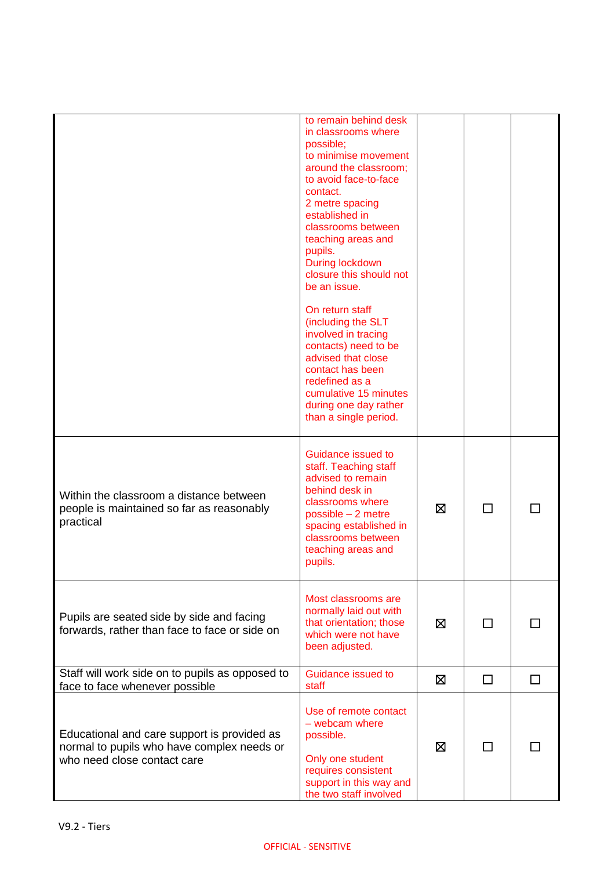|                                                                                                                          | to remain behind desk<br>in classrooms where<br>possible;<br>to minimise movement<br>around the classroom;<br>to avoid face-to-face<br>contact.<br>2 metre spacing<br>established in<br>classrooms between<br>teaching areas and<br>pupils.<br>During lockdown<br>closure this should not<br>be an issue.<br>On return staff<br>(including the SLT<br>involved in tracing<br>contacts) need to be<br>advised that close<br>contact has been<br>redefined as a<br>cumulative 15 minutes<br>during one day rather<br>than a single period. |   |    |  |
|--------------------------------------------------------------------------------------------------------------------------|------------------------------------------------------------------------------------------------------------------------------------------------------------------------------------------------------------------------------------------------------------------------------------------------------------------------------------------------------------------------------------------------------------------------------------------------------------------------------------------------------------------------------------------|---|----|--|
| Within the classroom a distance between<br>people is maintained so far as reasonably<br>practical                        | Guidance issued to<br>staff. Teaching staff<br>advised to remain<br>behind desk in<br>classrooms where<br>possible - 2 metre<br>spacing established in<br>classrooms between<br>teaching areas and<br>pupils.                                                                                                                                                                                                                                                                                                                            | ⊠ | ΙI |  |
| Pupils are seated side by side and facing<br>forwards, rather than face to face or side on                               | Most classrooms are<br>normally laid out with<br>that orientation; those<br>which were not have<br>been adjusted.                                                                                                                                                                                                                                                                                                                                                                                                                        | ⊠ |    |  |
| Staff will work side on to pupils as opposed to<br>face to face whenever possible                                        | Guidance issued to<br>staff                                                                                                                                                                                                                                                                                                                                                                                                                                                                                                              | ⊠ | П  |  |
| Educational and care support is provided as<br>normal to pupils who have complex needs or<br>who need close contact care | Use of remote contact<br>$-$ webcam where<br>possible.<br>Only one student<br>requires consistent<br>support in this way and<br>the two staff involved                                                                                                                                                                                                                                                                                                                                                                                   | ⊠ | ΙI |  |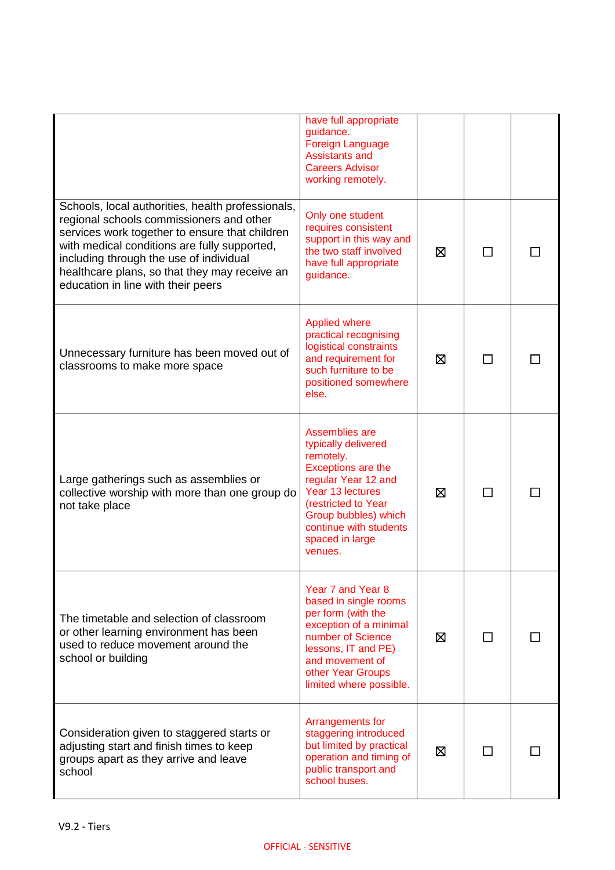|                                                                                                                                                                                                                                                                                                                                   | have full appropriate<br>guidance.<br>Foreign Language<br><b>Assistants and</b><br><b>Careers Advisor</b><br>working remotely.                                                                                             |   |              |  |
|-----------------------------------------------------------------------------------------------------------------------------------------------------------------------------------------------------------------------------------------------------------------------------------------------------------------------------------|----------------------------------------------------------------------------------------------------------------------------------------------------------------------------------------------------------------------------|---|--------------|--|
| Schools, local authorities, health professionals,<br>regional schools commissioners and other<br>services work together to ensure that children<br>with medical conditions are fully supported,<br>including through the use of individual<br>healthcare plans, so that they may receive an<br>education in line with their peers | Only one student<br>requires consistent<br>support in this way and<br>the two staff involved<br>have full appropriate<br>guidance.                                                                                         | ⊠ |              |  |
| Unnecessary furniture has been moved out of<br>classrooms to make more space                                                                                                                                                                                                                                                      | <b>Applied where</b><br>practical recognising<br>logistical constraints<br>and requirement for<br>such furniture to be<br>positioned somewhere<br>else.                                                                    | ⊠ |              |  |
| Large gatherings such as assemblies or<br>collective worship with more than one group do<br>not take place                                                                                                                                                                                                                        | Assemblies are<br>typically delivered<br>remotely.<br>Exceptions are the<br>regular Year 12 and<br>Year 13 lectures<br>(restricted to Year<br>Group bubbles) which<br>continue with students<br>spaced in large<br>venues. | ⊠ | $\mathsf{L}$ |  |
| The timetable and selection of classroom<br>or other learning environment has been<br>used to reduce movement around the<br>school or building                                                                                                                                                                                    | Year 7 and Year 8<br>based in single rooms<br>per form (with the<br>exception of a minimal<br>number of Science<br>lessons, IT and PE)<br>and movement of<br>other Year Groups<br>limited where possible.                  | Χ |              |  |
| Consideration given to staggered starts or<br>adjusting start and finish times to keep<br>groups apart as they arrive and leave<br>school                                                                                                                                                                                         | Arrangements for<br>staggering introduced<br>but limited by practical<br>operation and timing of<br>public transport and<br>school buses.                                                                                  | ⊠ |              |  |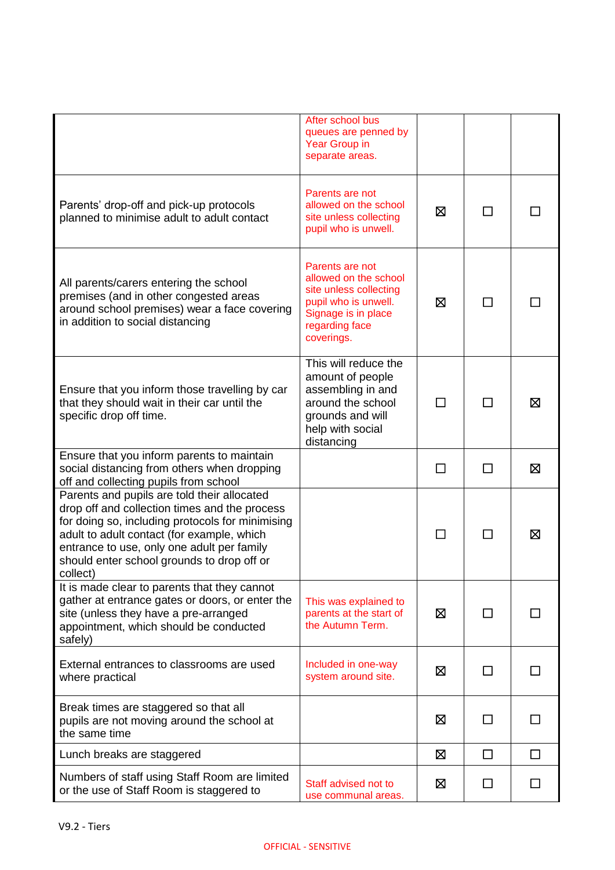|                                                                                                                                                                                                                                                                                                        | After school bus<br>queues are penned by<br>Year Group in<br>separate areas.                                                                      |         |                |              |
|--------------------------------------------------------------------------------------------------------------------------------------------------------------------------------------------------------------------------------------------------------------------------------------------------------|---------------------------------------------------------------------------------------------------------------------------------------------------|---------|----------------|--------------|
| Parents' drop-off and pick-up protocols<br>planned to minimise adult to adult contact                                                                                                                                                                                                                  | Parents are not<br>allowed on the school<br>site unless collecting<br>pupil who is unwell.                                                        | ⊠       |                |              |
| All parents/carers entering the school<br>premises (and in other congested areas<br>around school premises) wear a face covering<br>in addition to social distancing                                                                                                                                   | Parents are not<br>allowed on the school<br>site unless collecting<br>pupil who is unwell.<br>Signage is in place<br>regarding face<br>coverings. | ⊠       | ΙI             |              |
| Ensure that you inform those travelling by car<br>that they should wait in their car until the<br>specific drop off time.                                                                                                                                                                              | This will reduce the<br>amount of people<br>assembling in and<br>around the school<br>grounds and will<br>help with social<br>distancing          | $\perp$ | ΙI             | ⊠            |
| Ensure that you inform parents to maintain<br>social distancing from others when dropping<br>off and collecting pupils from school                                                                                                                                                                     |                                                                                                                                                   |         | $\Box$         | ⊠            |
| Parents and pupils are told their allocated<br>drop off and collection times and the process<br>for doing so, including protocols for minimising<br>adult to adult contact (for example, which<br>entrance to use, only one adult per family<br>should enter school grounds to drop off or<br>collect) |                                                                                                                                                   | П       | $\blacksquare$ | ⊠            |
| It is made clear to parents that they cannot<br>gather at entrance gates or doors, or enter the<br>site (unless they have a pre-arranged<br>appointment, which should be conducted<br>safely)                                                                                                          | This was explained to<br>parents at the start of<br>the Autumn Term.                                                                              | ⊠       | ΙI             |              |
| External entrances to classrooms are used<br>where practical                                                                                                                                                                                                                                           | Included in one-way<br>system around site.                                                                                                        | ⊠       | П              | $\mathsf{L}$ |
| Break times are staggered so that all<br>pupils are not moving around the school at<br>the same time                                                                                                                                                                                                   |                                                                                                                                                   | ⊠       | ΙI             | ΙI           |
| Lunch breaks are staggered                                                                                                                                                                                                                                                                             |                                                                                                                                                   | ⊠       | $\Box$         | П            |
| Numbers of staff using Staff Room are limited<br>or the use of Staff Room is staggered to                                                                                                                                                                                                              | Staff advised not to<br>use communal areas.                                                                                                       | ⊠       | □              | П            |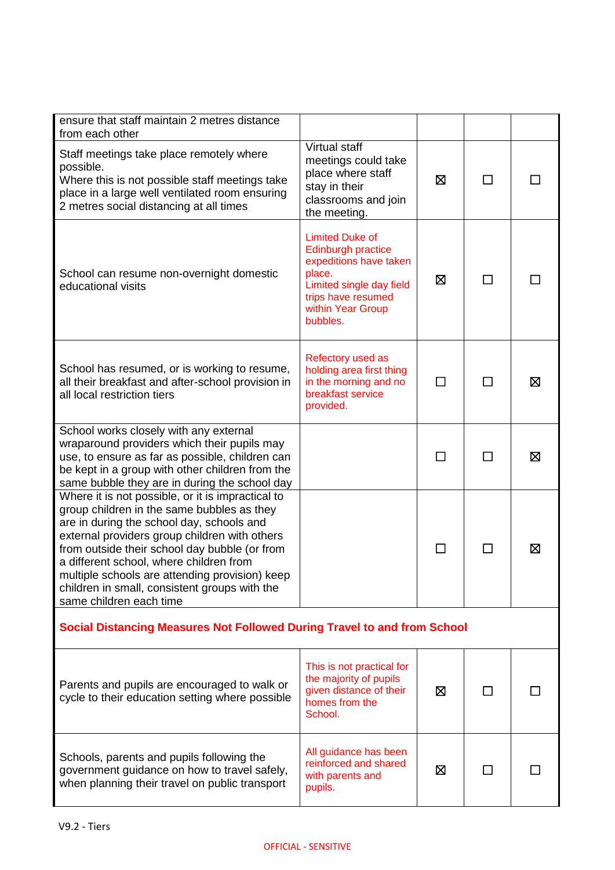| ensure that staff maintain 2 metres distance<br>from each other                                                                                                                                                                                                                                                                                                                                                         |                                                                                                                                                                            |        |              |   |  |
|-------------------------------------------------------------------------------------------------------------------------------------------------------------------------------------------------------------------------------------------------------------------------------------------------------------------------------------------------------------------------------------------------------------------------|----------------------------------------------------------------------------------------------------------------------------------------------------------------------------|--------|--------------|---|--|
| Staff meetings take place remotely where<br>possible.<br>Where this is not possible staff meetings take<br>place in a large well ventilated room ensuring<br>2 metres social distancing at all times                                                                                                                                                                                                                    | Virtual staff<br>meetings could take<br>place where staff<br>stay in their<br>classrooms and join<br>the meeting.                                                          | X      | П            |   |  |
| School can resume non-overnight domestic<br>educational visits                                                                                                                                                                                                                                                                                                                                                          | <b>Limited Duke of</b><br><b>Edinburgh practice</b><br>expeditions have taken<br>place.<br>Limited single day field<br>trips have resumed<br>within Year Group<br>bubbles. | Ø      | П            |   |  |
| School has resumed, or is working to resume,<br>all their breakfast and after-school provision in<br>all local restriction tiers                                                                                                                                                                                                                                                                                        | Refectory used as<br>holding area first thing<br>in the morning and no<br>breakfast service<br>provided.                                                                   | $\Box$ | П            | ⊠ |  |
| School works closely with any external<br>wraparound providers which their pupils may<br>use, to ensure as far as possible, children can<br>be kept in a group with other children from the<br>same bubble they are in during the school day                                                                                                                                                                            |                                                                                                                                                                            | $\Box$ | П            | ⊠ |  |
| Where it is not possible, or it is impractical to<br>group children in the same bubbles as they<br>are in during the school day, schools and<br>external providers group children with others<br>from outside their school day bubble (or from<br>a different school, where children from<br>multiple schools are attending provision) keep<br>children in small, consistent groups with the<br>same children each time |                                                                                                                                                                            | П      | $\mathsf{L}$ | ⊠ |  |
| Social Distancing Measures Not Followed During Travel to and from School                                                                                                                                                                                                                                                                                                                                                |                                                                                                                                                                            |        |              |   |  |
| Parents and pupils are encouraged to walk or<br>cycle to their education setting where possible                                                                                                                                                                                                                                                                                                                         | This is not practical for<br>the majority of pupils<br>given distance of their<br>homes from the<br>School.                                                                | ⊠      |              |   |  |
| Schools, parents and pupils following the<br>government guidance on how to travel safely,<br>when planning their travel on public transport                                                                                                                                                                                                                                                                             | All guidance has been<br>reinforced and shared<br>with parents and<br>pupils.                                                                                              | ⊠      |              |   |  |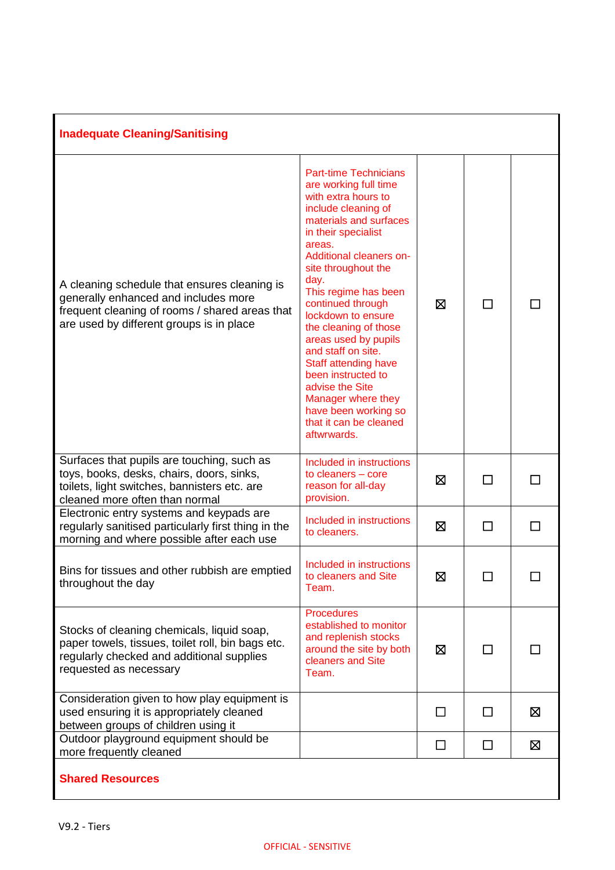| <b>Inadequate Cleaning/Sanitising</b>                                                                                                                                              |                                                                                                                                                                                                                                                                                                                                                                                                                                                                                                                                   |        |              |              |
|------------------------------------------------------------------------------------------------------------------------------------------------------------------------------------|-----------------------------------------------------------------------------------------------------------------------------------------------------------------------------------------------------------------------------------------------------------------------------------------------------------------------------------------------------------------------------------------------------------------------------------------------------------------------------------------------------------------------------------|--------|--------------|--------------|
| A cleaning schedule that ensures cleaning is<br>generally enhanced and includes more<br>frequent cleaning of rooms / shared areas that<br>are used by different groups is in place | <b>Part-time Technicians</b><br>are working full time<br>with extra hours to<br>include cleaning of<br>materials and surfaces<br>in their specialist<br>areas.<br>Additional cleaners on-<br>site throughout the<br>day.<br>This regime has been<br>continued through<br>lockdown to ensure<br>the cleaning of those<br>areas used by pupils<br>and staff on site.<br><b>Staff attending have</b><br>been instructed to<br>advise the Site<br>Manager where they<br>have been working so<br>that it can be cleaned<br>aftwrwards. | X      | $\mathbf{I}$ |              |
| Surfaces that pupils are touching, such as<br>toys, books, desks, chairs, doors, sinks,<br>toilets, light switches, bannisters etc. are<br>cleaned more often than normal          | Included in instructions<br>to cleaners - core<br>reason for all-day<br>provision.                                                                                                                                                                                                                                                                                                                                                                                                                                                | ⊠      | $\mathsf{L}$ | $\mathsf{L}$ |
| Electronic entry systems and keypads are<br>regularly sanitised particularly first thing in the<br>morning and where possible after each use                                       | Included in instructions<br>to cleaners.                                                                                                                                                                                                                                                                                                                                                                                                                                                                                          | ⊠      | $\mathsf{L}$ | ΙI           |
| Bins for tissues and other rubbish are emptied<br>throughout the day                                                                                                               | Included in instructions<br>to cleaners and Site<br>Team.                                                                                                                                                                                                                                                                                                                                                                                                                                                                         | Ø      |              |              |
| Stocks of cleaning chemicals, liquid soap,<br>paper towels, tissues, toilet roll, bin bags etc.<br>regularly checked and additional supplies<br>requested as necessary             | <b>Procedures</b><br>established to monitor<br>and replenish stocks<br>around the site by both<br>cleaners and Site<br>Team.                                                                                                                                                                                                                                                                                                                                                                                                      | ⊠      | $\Box$       |              |
| Consideration given to how play equipment is<br>used ensuring it is appropriately cleaned<br>between groups of children using it                                                   |                                                                                                                                                                                                                                                                                                                                                                                                                                                                                                                                   | $\Box$ | □            | 区            |
| Outdoor playground equipment should be<br>more frequently cleaned                                                                                                                  |                                                                                                                                                                                                                                                                                                                                                                                                                                                                                                                                   | □      | П            | ⊠            |
| <b>Shared Resources</b>                                                                                                                                                            |                                                                                                                                                                                                                                                                                                                                                                                                                                                                                                                                   |        |              |              |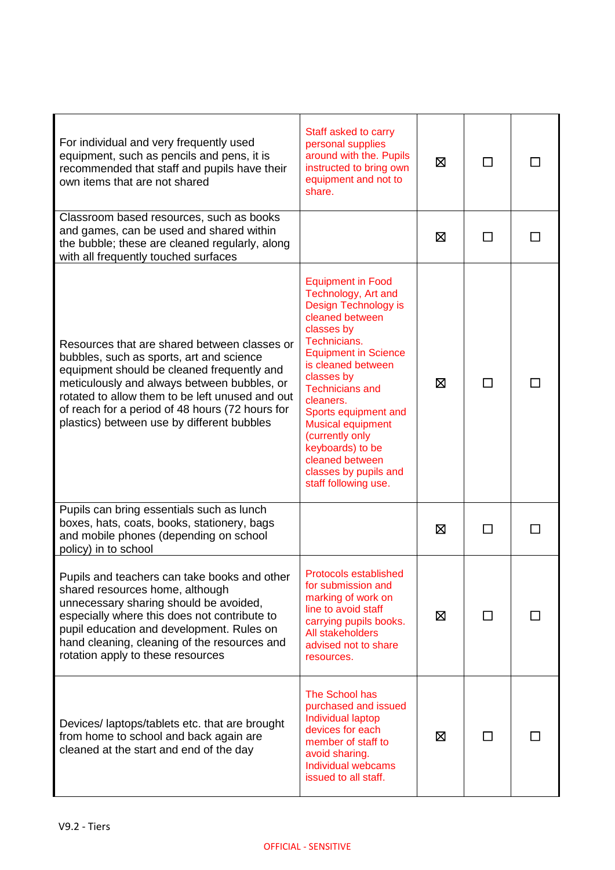| For individual and very frequently used<br>equipment, such as pencils and pens, it is<br>recommended that staff and pupils have their<br>own items that are not shared                                                                                                                                                                    | Staff asked to carry<br>personal supplies<br>around with the. Pupils<br>instructed to bring own<br>equipment and not to<br>share.                                                                                                                                                                                                                                                                 | ⊠ | ΙI      |  |
|-------------------------------------------------------------------------------------------------------------------------------------------------------------------------------------------------------------------------------------------------------------------------------------------------------------------------------------------|---------------------------------------------------------------------------------------------------------------------------------------------------------------------------------------------------------------------------------------------------------------------------------------------------------------------------------------------------------------------------------------------------|---|---------|--|
| Classroom based resources, such as books<br>and games, can be used and shared within<br>the bubble; these are cleaned regularly, along<br>with all frequently touched surfaces                                                                                                                                                            |                                                                                                                                                                                                                                                                                                                                                                                                   | ⊠ |         |  |
| Resources that are shared between classes or<br>bubbles, such as sports, art and science<br>equipment should be cleaned frequently and<br>meticulously and always between bubbles, or<br>rotated to allow them to be left unused and out<br>of reach for a period of 48 hours (72 hours for<br>plastics) between use by different bubbles | <b>Equipment in Food</b><br>Technology, Art and<br>Design Technology is<br>cleaned between<br>classes by<br>Technicians.<br><b>Equipment in Science</b><br>is cleaned between<br>classes by<br><b>Technicians and</b><br>cleaners.<br>Sports equipment and<br><b>Musical equipment</b><br>(currently only<br>keyboards) to be<br>cleaned between<br>classes by pupils and<br>staff following use. | ⊠ | П       |  |
| Pupils can bring essentials such as lunch<br>boxes, hats, coats, books, stationery, bags<br>and mobile phones (depending on school<br>policy) in to school                                                                                                                                                                                |                                                                                                                                                                                                                                                                                                                                                                                                   | ⊠ | П       |  |
| Pupils and teachers can take books and other<br>shared resources home, although<br>unnecessary sharing should be avoided,<br>especially where this does not contribute to<br>pupil education and development. Rules on<br>hand cleaning, cleaning of the resources and<br>rotation apply to these resources                               | Protocols established<br>for submission and<br>marking of work on<br>line to avoid staff<br>carrying pupils books.<br>All stakeholders<br>advised not to share<br>resources.                                                                                                                                                                                                                      | ⊠ | $\perp$ |  |
| Devices/laptops/tablets etc. that are brought<br>from home to school and back again are<br>cleaned at the start and end of the day                                                                                                                                                                                                        | The School has<br>purchased and issued<br>Individual laptop<br>devices for each<br>member of staff to<br>avoid sharing.<br>Individual webcams<br>issued to all staff.                                                                                                                                                                                                                             | ⊠ | П       |  |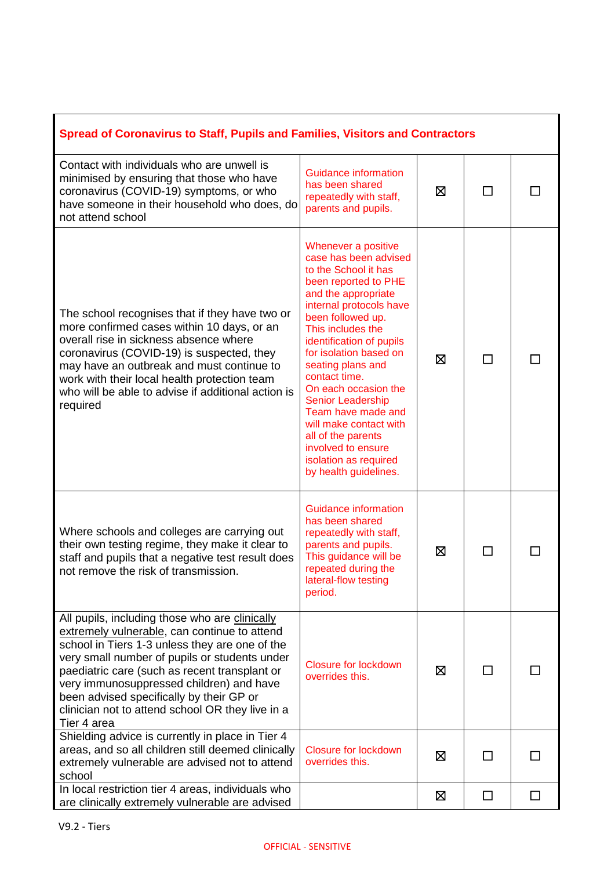| <b>Spread of Coronavirus to Staff, Pupils and Families, Visitors and Contractors</b>                                                                                                                                                                                                                                                                                                                          |                                                                                                                                                                                                                                                                                                                                                                                                                                                                                        |   |        |        |
|---------------------------------------------------------------------------------------------------------------------------------------------------------------------------------------------------------------------------------------------------------------------------------------------------------------------------------------------------------------------------------------------------------------|----------------------------------------------------------------------------------------------------------------------------------------------------------------------------------------------------------------------------------------------------------------------------------------------------------------------------------------------------------------------------------------------------------------------------------------------------------------------------------------|---|--------|--------|
| Contact with individuals who are unwell is<br>minimised by ensuring that those who have<br>coronavirus (COVID-19) symptoms, or who<br>have someone in their household who does, do<br>not attend school                                                                                                                                                                                                       | Guidance information<br>has been shared<br>repeatedly with staff,<br>parents and pupils.                                                                                                                                                                                                                                                                                                                                                                                               | ⊠ |        |        |
| The school recognises that if they have two or<br>more confirmed cases within 10 days, or an<br>overall rise in sickness absence where<br>coronavirus (COVID-19) is suspected, they<br>may have an outbreak and must continue to<br>work with their local health protection team<br>who will be able to advise if additional action is<br>required                                                            | Whenever a positive<br>case has been advised<br>to the School it has<br>been reported to PHE<br>and the appropriate<br>internal protocols have<br>been followed up.<br>This includes the<br>identification of pupils<br>for isolation based on<br>seating plans and<br>contact time.<br>On each occasion the<br><b>Senior Leadership</b><br>Team have made and<br>will make contact with<br>all of the parents<br>involved to ensure<br>isolation as required<br>by health guidelines. | ⊠ |        |        |
| Where schools and colleges are carrying out<br>their own testing regime, they make it clear to<br>staff and pupils that a negative test result does<br>not remove the risk of transmission.                                                                                                                                                                                                                   | <b>Guidance information</b><br>has been shared<br>repeatedly with staff,<br>parents and pupils.<br>This guidance will be<br>repeated during the<br>lateral-flow testing<br>period.                                                                                                                                                                                                                                                                                                     | 区 |        |        |
| All pupils, including those who are clinically<br>extremely vulnerable, can continue to attend<br>school in Tiers 1-3 unless they are one of the<br>very small number of pupils or students under<br>paediatric care (such as recent transplant or<br>very immunosuppressed children) and have<br>been advised specifically by their GP or<br>clinician not to attend school OR they live in a<br>Tier 4 area | Closure for lockdown<br>overrides this.                                                                                                                                                                                                                                                                                                                                                                                                                                                | 区 |        |        |
| Shielding advice is currently in place in Tier 4<br>areas, and so all children still deemed clinically<br>extremely vulnerable are advised not to attend<br>school                                                                                                                                                                                                                                            | Closure for lockdown<br>overrides this.                                                                                                                                                                                                                                                                                                                                                                                                                                                | 区 |        |        |
| In local restriction tier 4 areas, individuals who<br>are clinically extremely vulnerable are advised                                                                                                                                                                                                                                                                                                         |                                                                                                                                                                                                                                                                                                                                                                                                                                                                                        | ⊠ | $\Box$ | $\Box$ |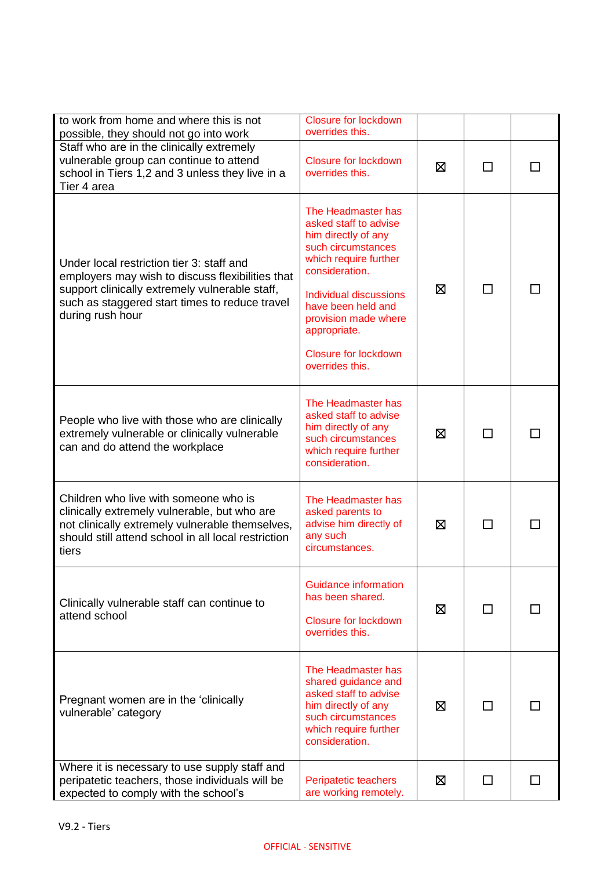| to work from home and where this is not<br>possible, they should not go into work                                                                                                                                     | <b>Closure for lockdown</b><br>overrides this.                                                                                                                                                                                                                                |   |              |              |
|-----------------------------------------------------------------------------------------------------------------------------------------------------------------------------------------------------------------------|-------------------------------------------------------------------------------------------------------------------------------------------------------------------------------------------------------------------------------------------------------------------------------|---|--------------|--------------|
| Staff who are in the clinically extremely<br>vulnerable group can continue to attend<br>school in Tiers 1,2 and 3 unless they live in a<br>Tier 4 area                                                                | <b>Closure for lockdown</b><br>overrides this.                                                                                                                                                                                                                                | ⊠ | П            |              |
| Under local restriction tier 3: staff and<br>employers may wish to discuss flexibilities that<br>support clinically extremely vulnerable staff,<br>such as staggered start times to reduce travel<br>during rush hour | The Headmaster has<br>asked staff to advise<br>him directly of any<br>such circumstances<br>which require further<br>consideration.<br>Individual discussions<br>have been held and<br>provision made where<br>appropriate.<br><b>Closure for lockdown</b><br>overrides this. | ⊠ | П            |              |
| People who live with those who are clinically<br>extremely vulnerable or clinically vulnerable<br>can and do attend the workplace                                                                                     | The Headmaster has<br>asked staff to advise<br>him directly of any<br>such circumstances<br>which require further<br>consideration.                                                                                                                                           | ⊠ | П            |              |
| Children who live with someone who is<br>clinically extremely vulnerable, but who are<br>not clinically extremely vulnerable themselves,<br>should still attend school in all local restriction<br>tiers              | The Headmaster has<br>asked parents to<br>advise him directly of<br>any such<br>circumstances.                                                                                                                                                                                | ⊠ | $\mathsf{L}$ |              |
| Clinically vulnerable staff can continue to<br>attend school                                                                                                                                                          | <b>Guidance information</b><br>has been shared.<br><b>Closure for lockdown</b><br>overrides this.                                                                                                                                                                             | ⊠ | $\mathsf{L}$ |              |
| Pregnant women are in the 'clinically<br>vulnerable' category                                                                                                                                                         | The Headmaster has<br>shared guidance and<br>asked staff to advise<br>him directly of any<br>such circumstances<br>which require further<br>consideration.                                                                                                                    | ⊠ | П            |              |
| Where it is necessary to use supply staff and<br>peripatetic teachers, those individuals will be<br>expected to comply with the school's                                                                              | Peripatetic teachers<br>are working remotely.                                                                                                                                                                                                                                 | ⊠ | $\Box$       | $\mathbf{I}$ |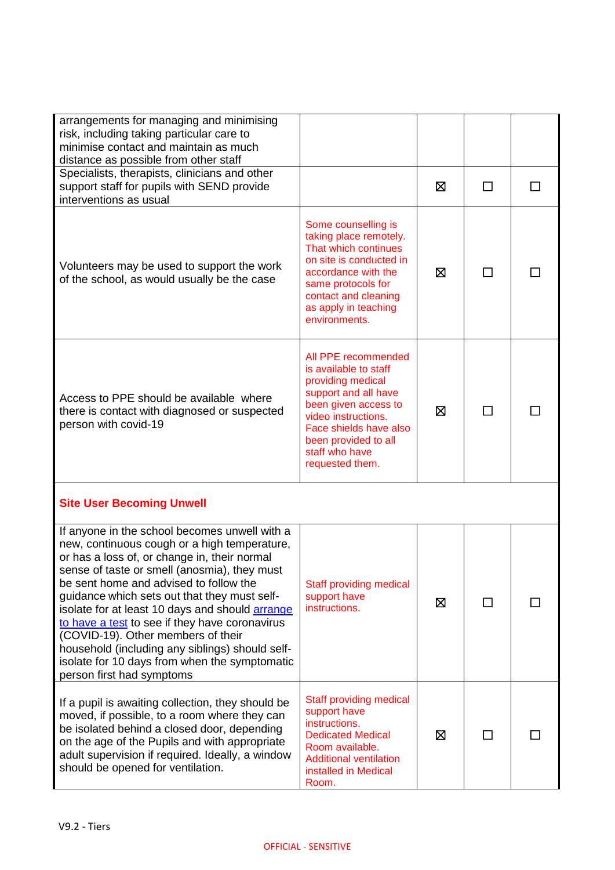| arrangements for managing and minimising<br>risk, including taking particular care to<br>minimise contact and maintain as much<br>distance as possible from other staff                                                                                                                                                                                                                                                                                                                                                                                             |                                                                                                                                                                                                                                 |   |    |  |
|---------------------------------------------------------------------------------------------------------------------------------------------------------------------------------------------------------------------------------------------------------------------------------------------------------------------------------------------------------------------------------------------------------------------------------------------------------------------------------------------------------------------------------------------------------------------|---------------------------------------------------------------------------------------------------------------------------------------------------------------------------------------------------------------------------------|---|----|--|
| Specialists, therapists, clinicians and other<br>support staff for pupils with SEND provide<br>interventions as usual                                                                                                                                                                                                                                                                                                                                                                                                                                               |                                                                                                                                                                                                                                 | ⊠ |    |  |
| Volunteers may be used to support the work<br>of the school, as would usually be the case                                                                                                                                                                                                                                                                                                                                                                                                                                                                           | Some counselling is<br>taking place remotely.<br>That which continues<br>on site is conducted in<br>accordance with the<br>same protocols for<br>contact and cleaning<br>as apply in teaching<br>environments.                  | ⊠ |    |  |
| Access to PPE should be available where<br>there is contact with diagnosed or suspected<br>person with covid-19                                                                                                                                                                                                                                                                                                                                                                                                                                                     | All PPE recommended<br>is available to staff<br>providing medical<br>support and all have<br>been given access to<br>video instructions.<br>Face shields have also<br>been provided to all<br>staff who have<br>requested them. | ⊠ |    |  |
| <b>Site User Becoming Unwell</b>                                                                                                                                                                                                                                                                                                                                                                                                                                                                                                                                    |                                                                                                                                                                                                                                 |   |    |  |
| If anyone in the school becomes unwell with a<br>new, continuous cough or a high temperature,<br>or has a loss of, or change in, their normal<br>sense of taste or smell (anosmia), they must<br>be sent home and advised to follow the<br>guidance which sets out that they must self-<br>isolate for at least 10 days and should arrange<br>to have a test to see if they have coronavirus<br>(COVID-19). Other members of their<br>household (including any siblings) should self-<br>isolate for 10 days from when the symptomatic<br>person first had symptoms | <b>Staff providing medical</b><br>support have<br>instructions.                                                                                                                                                                 | ⊠ | ΙI |  |
| If a pupil is awaiting collection, they should be<br>moved, if possible, to a room where they can<br>be isolated behind a closed door, depending<br>on the age of the Pupils and with appropriate<br>adult supervision if required. Ideally, a window<br>should be opened for ventilation.                                                                                                                                                                                                                                                                          | Staff providing medical<br>support have<br>instructions.<br><b>Dedicated Medical</b><br>Room available.<br><b>Additional ventilation</b><br>installed in Medical<br>Room.                                                       | ⊠ | ΙI |  |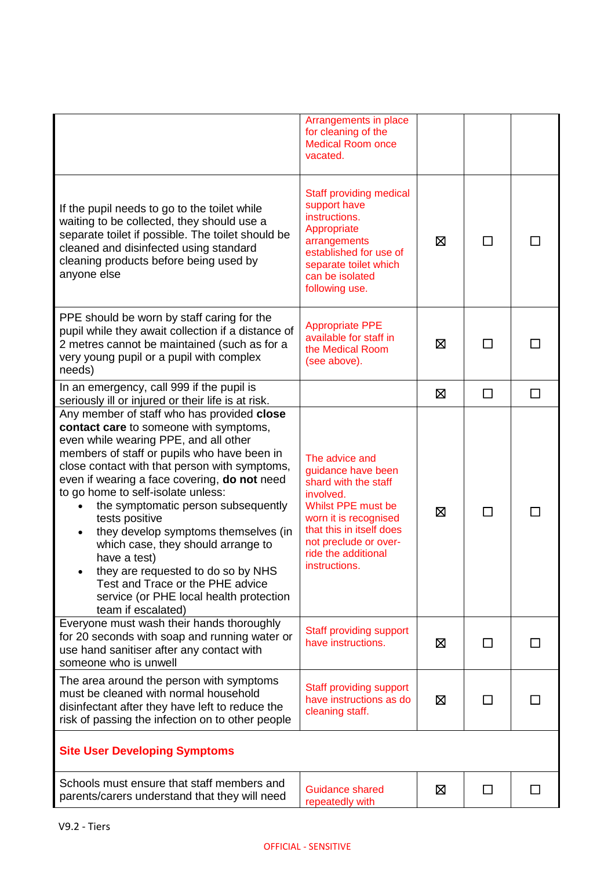|                                                                                                                                                                                                                                                                                                                                                                                                                                                                                                                                                                                                                       | Arrangements in place<br>for cleaning of the<br><b>Medical Room once</b><br>vacated.                                                                                                                                  |   |              |   |
|-----------------------------------------------------------------------------------------------------------------------------------------------------------------------------------------------------------------------------------------------------------------------------------------------------------------------------------------------------------------------------------------------------------------------------------------------------------------------------------------------------------------------------------------------------------------------------------------------------------------------|-----------------------------------------------------------------------------------------------------------------------------------------------------------------------------------------------------------------------|---|--------------|---|
| If the pupil needs to go to the toilet while<br>waiting to be collected, they should use a<br>separate toilet if possible. The toilet should be<br>cleaned and disinfected using standard<br>cleaning products before being used by<br>anyone else                                                                                                                                                                                                                                                                                                                                                                    | <b>Staff providing medical</b><br>support have<br>instructions.<br>Appropriate<br>arrangements<br>established for use of<br>separate toilet which<br>can be isolated<br>following use.                                | ⊠ | ΙI           |   |
| PPE should be worn by staff caring for the<br>pupil while they await collection if a distance of<br>2 metres cannot be maintained (such as for a<br>very young pupil or a pupil with complex<br>needs)                                                                                                                                                                                                                                                                                                                                                                                                                | <b>Appropriate PPE</b><br>available for staff in<br>the Medical Room<br>(see above).                                                                                                                                  | ⊠ |              |   |
| In an emergency, call 999 if the pupil is<br>seriously ill or injured or their life is at risk.                                                                                                                                                                                                                                                                                                                                                                                                                                                                                                                       |                                                                                                                                                                                                                       | ⊠ | $\Box$       | □ |
| Any member of staff who has provided close<br>contact care to someone with symptoms,<br>even while wearing PPE, and all other<br>members of staff or pupils who have been in<br>close contact with that person with symptoms,<br>even if wearing a face covering, do not need<br>to go home to self-isolate unless:<br>the symptomatic person subsequently<br>tests positive<br>they develop symptoms themselves (in<br>which case, they should arrange to<br>have a test)<br>they are requested to do so by NHS<br>Test and Trace or the PHE advice<br>service (or PHE local health protection<br>team if escalated) | The advice and<br>guidance have been<br>shard with the staff<br>involved.<br>Whilst PPE must be<br>worn it is recognised<br>that this in itself does<br>not preclude or over-<br>ride the additional<br>instructions. | ⊠ |              |   |
| Everyone must wash their hands thoroughly<br>for 20 seconds with soap and running water or<br>use hand sanitiser after any contact with<br>someone who is unwell                                                                                                                                                                                                                                                                                                                                                                                                                                                      | Staff providing support<br>have instructions.                                                                                                                                                                         | Σ |              |   |
| The area around the person with symptoms<br>must be cleaned with normal household<br>disinfectant after they have left to reduce the<br>risk of passing the infection on to other people                                                                                                                                                                                                                                                                                                                                                                                                                              | Staff providing support<br>have instructions as do<br>cleaning staff.                                                                                                                                                 | ⊠ |              |   |
| <b>Site User Developing Symptoms</b>                                                                                                                                                                                                                                                                                                                                                                                                                                                                                                                                                                                  |                                                                                                                                                                                                                       |   |              |   |
| Schools must ensure that staff members and<br>parents/carers understand that they will need                                                                                                                                                                                                                                                                                                                                                                                                                                                                                                                           | <b>Guidance shared</b><br>repeatedly with                                                                                                                                                                             | ⊠ | $\mathsf{L}$ |   |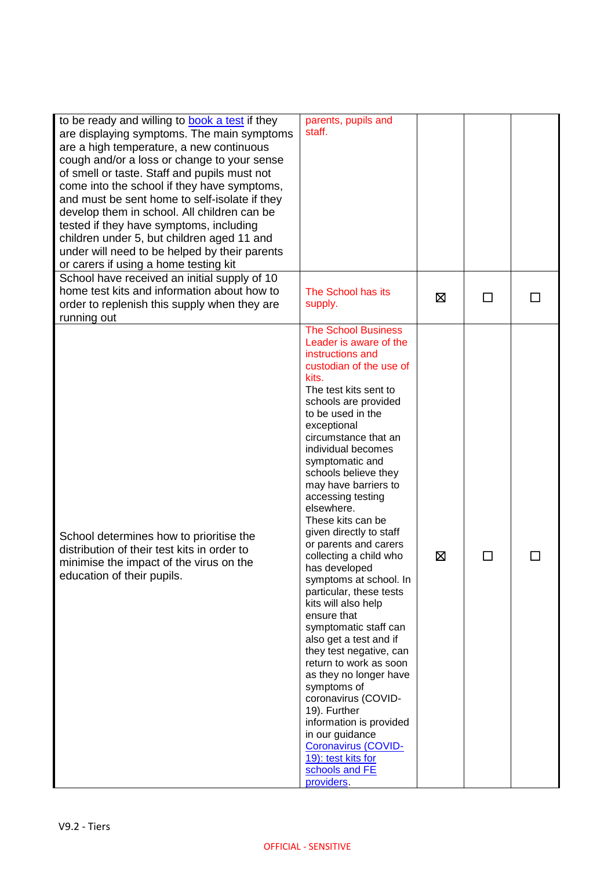| to be ready and willing to <b>book a test</b> if they<br>are displaying symptoms. The main symptoms<br>are a high temperature, a new continuous<br>cough and/or a loss or change to your sense<br>of smell or taste. Staff and pupils must not<br>come into the school if they have symptoms,<br>and must be sent home to self-isolate if they<br>develop them in school. All children can be<br>tested if they have symptoms, including<br>children under 5, but children aged 11 and<br>under will need to be helped by their parents<br>or carers if using a home testing kit<br>School have received an initial supply of 10 | parents, pupils and<br>staff.                                                                                                                                                                                                                                                                                                                                                                                                                                                                                                                                                                                                                                                                                                                                                                                                                                                           |   |              |  |
|----------------------------------------------------------------------------------------------------------------------------------------------------------------------------------------------------------------------------------------------------------------------------------------------------------------------------------------------------------------------------------------------------------------------------------------------------------------------------------------------------------------------------------------------------------------------------------------------------------------------------------|-----------------------------------------------------------------------------------------------------------------------------------------------------------------------------------------------------------------------------------------------------------------------------------------------------------------------------------------------------------------------------------------------------------------------------------------------------------------------------------------------------------------------------------------------------------------------------------------------------------------------------------------------------------------------------------------------------------------------------------------------------------------------------------------------------------------------------------------------------------------------------------------|---|--------------|--|
| home test kits and information about how to<br>order to replenish this supply when they are<br>running out                                                                                                                                                                                                                                                                                                                                                                                                                                                                                                                       | The School has its<br>supply.                                                                                                                                                                                                                                                                                                                                                                                                                                                                                                                                                                                                                                                                                                                                                                                                                                                           | ⊠ | $\mathbf{r}$ |  |
| School determines how to prioritise the<br>distribution of their test kits in order to<br>minimise the impact of the virus on the<br>education of their pupils.                                                                                                                                                                                                                                                                                                                                                                                                                                                                  | <b>The School Business</b><br>Leader is aware of the<br>instructions and<br>custodian of the use of<br>kits.<br>The test kits sent to<br>schools are provided<br>to be used in the<br>exceptional<br>circumstance that an<br>individual becomes<br>symptomatic and<br>schools believe they<br>may have barriers to<br>accessing testing<br>elsewhere.<br>These kits can be<br>given directly to staff<br>or parents and carers<br>collecting a child who<br>has developed<br>symptoms at school. In<br>particular, these tests<br>kits will also help<br>ensure that<br>symptomatic staff can<br>also get a test and if<br>they test negative, can<br>return to work as soon<br>as they no longer have<br>symptoms of<br>coronavirus (COVID-<br>19). Further<br>information is provided<br>in our guidance<br>Coronavirus (COVID-<br>19): test kits for<br>schools and FE<br>providers. | ⊠ | $\mathsf{L}$ |  |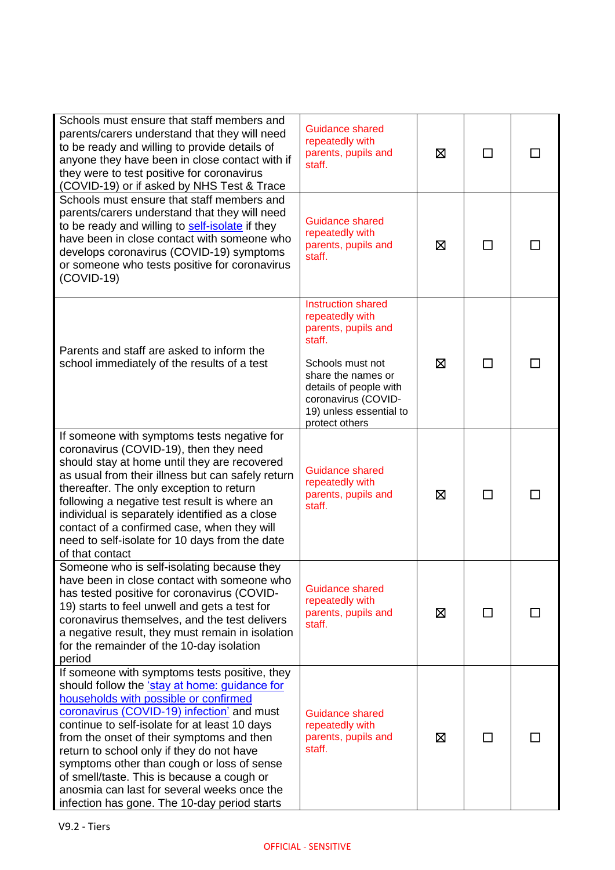| Schools must ensure that staff members and<br>parents/carers understand that they will need<br>to be ready and willing to provide details of<br>anyone they have been in close contact with if<br>they were to test positive for coronavirus<br>(COVID-19) or if asked by NHS Test & Trace                                                                                                                                                                                                                                  | Guidance shared<br>repeatedly with<br>parents, pupils and<br>staff.                                                                                                                                                   | ⊠ | ΙI |  |
|-----------------------------------------------------------------------------------------------------------------------------------------------------------------------------------------------------------------------------------------------------------------------------------------------------------------------------------------------------------------------------------------------------------------------------------------------------------------------------------------------------------------------------|-----------------------------------------------------------------------------------------------------------------------------------------------------------------------------------------------------------------------|---|----|--|
| Schools must ensure that staff members and<br>parents/carers understand that they will need<br>to be ready and willing to self-isolate if they<br>have been in close contact with someone who<br>develops coronavirus (COVID-19) symptoms<br>or someone who tests positive for coronavirus<br>$(COVID-19)$                                                                                                                                                                                                                  | <b>Guidance shared</b><br>repeatedly with<br>parents, pupils and<br>staff.                                                                                                                                            | ⊠ | □  |  |
| Parents and staff are asked to inform the<br>school immediately of the results of a test                                                                                                                                                                                                                                                                                                                                                                                                                                    | <b>Instruction shared</b><br>repeatedly with<br>parents, pupils and<br>staff.<br>Schools must not<br>share the names or<br>details of people with<br>coronavirus (COVID-<br>19) unless essential to<br>protect others | ⊠ | П  |  |
| If someone with symptoms tests negative for<br>coronavirus (COVID-19), then they need<br>should stay at home until they are recovered<br>as usual from their illness but can safely return<br>thereafter. The only exception to return<br>following a negative test result is where an<br>individual is separately identified as a close<br>contact of a confirmed case, when they will<br>need to self-isolate for 10 days from the date<br>of that contact                                                                | <b>Guidance shared</b><br>repeatedly with<br>parents, pupils and<br>staff.                                                                                                                                            | ⊠ | □  |  |
| Someone who is self-isolating because they<br>have been in close contact with someone who<br>has tested positive for coronavirus (COVID-<br>19) starts to feel unwell and gets a test for<br>coronavirus themselves, and the test delivers<br>a negative result, they must remain in isolation<br>for the remainder of the 10-day isolation<br>period                                                                                                                                                                       | <b>Guidance shared</b><br>repeatedly with<br>parents, pupils and<br>staff.                                                                                                                                            | ⊠ | П  |  |
| If someone with symptoms tests positive, they<br>should follow the 'stay at home: guidance for<br>households with possible or confirmed<br>coronavirus (COVID-19) infection' and must<br>continue to self-isolate for at least 10 days<br>from the onset of their symptoms and then<br>return to school only if they do not have<br>symptoms other than cough or loss of sense<br>of smell/taste. This is because a cough or<br>anosmia can last for several weeks once the<br>infection has gone. The 10-day period starts | Guidance shared<br>repeatedly with<br>parents, pupils and<br>staff.                                                                                                                                                   | ⊠ |    |  |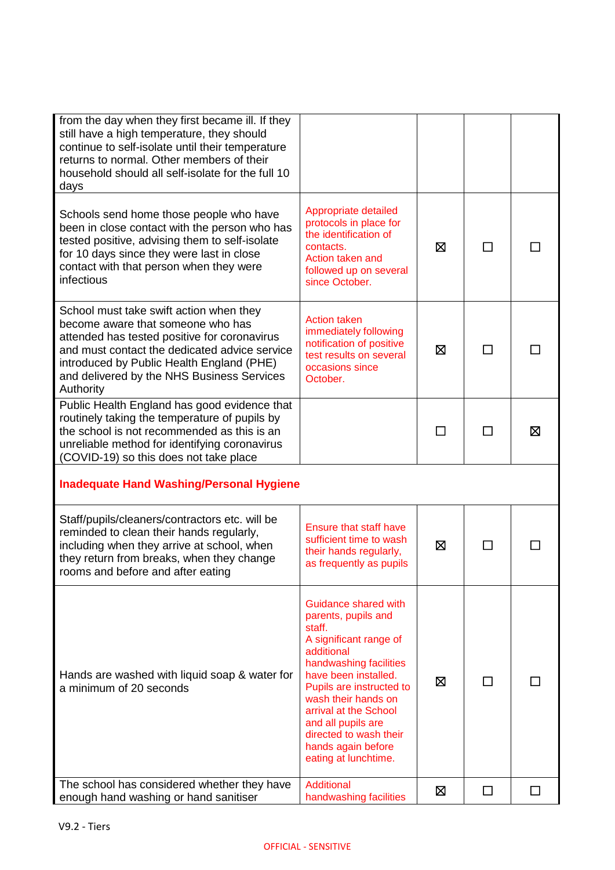| from the day when they first became ill. If they<br>still have a high temperature, they should<br>continue to self-isolate until their temperature<br>returns to normal. Other members of their<br>household should all self-isolate for the full 10<br>days                          |                                                                                                                                                                                                                                                                                                                           |   |   |   |
|---------------------------------------------------------------------------------------------------------------------------------------------------------------------------------------------------------------------------------------------------------------------------------------|---------------------------------------------------------------------------------------------------------------------------------------------------------------------------------------------------------------------------------------------------------------------------------------------------------------------------|---|---|---|
| Schools send home those people who have<br>been in close contact with the person who has<br>tested positive, advising them to self-isolate<br>for 10 days since they were last in close<br>contact with that person when they were<br>infectious                                      | Appropriate detailed<br>protocols in place for<br>the identification of<br>contacts.<br>Action taken and<br>followed up on several<br>since October.                                                                                                                                                                      | ⊠ | П |   |
| School must take swift action when they<br>become aware that someone who has<br>attended has tested positive for coronavirus<br>and must contact the dedicated advice service<br>introduced by Public Health England (PHE)<br>and delivered by the NHS Business Services<br>Authority | <b>Action taken</b><br>immediately following<br>notification of positive<br>test results on several<br>occasions since<br>October.                                                                                                                                                                                        | ⊠ | П |   |
| Public Health England has good evidence that<br>routinely taking the temperature of pupils by<br>the school is not recommended as this is an<br>unreliable method for identifying coronavirus<br>(COVID-19) so this does not take place                                               |                                                                                                                                                                                                                                                                                                                           | П | □ | 区 |
| <b>Inadequate Hand Washing/Personal Hygiene</b>                                                                                                                                                                                                                                       |                                                                                                                                                                                                                                                                                                                           |   |   |   |
| Staff/pupils/cleaners/contractors etc. will be<br>reminded to clean their hands regularly,<br>including when they arrive at school, when<br>they return from breaks, when they change<br>rooms and before and after eating                                                            | <b>Ensure that staff have</b><br>sufficient time to wash<br>their hands regularly,<br>as frequently as pupils                                                                                                                                                                                                             | ⊠ |   |   |
| Hands are washed with liquid soap & water for<br>a minimum of 20 seconds                                                                                                                                                                                                              | Guidance shared with<br>parents, pupils and<br>staff.<br>A significant range of<br>additional<br>handwashing facilities<br>have been installed.<br>Pupils are instructed to<br>wash their hands on<br>arrival at the School<br>and all pupils are<br>directed to wash their<br>hands again before<br>eating at lunchtime. | ⊠ |   |   |
| The school has considered whether they have<br>enough hand washing or hand sanitiser                                                                                                                                                                                                  | Additional<br>handwashing facilities                                                                                                                                                                                                                                                                                      | ⊠ | □ |   |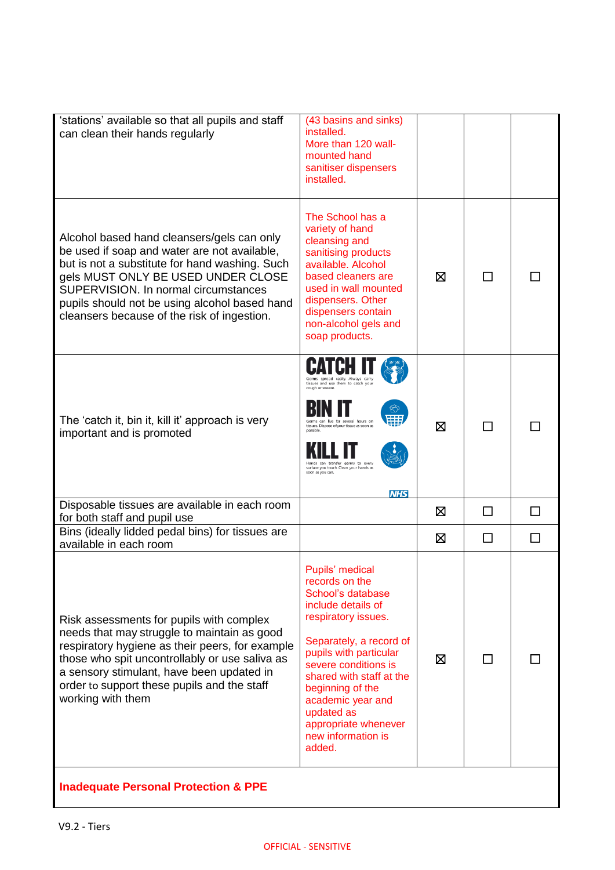| 'stations' available so that all pupils and staff<br>can clean their hands regularly                                                                                                                                                                                                                                       | (43 basins and sinks)<br>installed.<br>More than 120 wall-<br>mounted hand<br>sanitiser dispensers<br>installed.                                                                                                                                                                                                            |   |              |         |
|----------------------------------------------------------------------------------------------------------------------------------------------------------------------------------------------------------------------------------------------------------------------------------------------------------------------------|-----------------------------------------------------------------------------------------------------------------------------------------------------------------------------------------------------------------------------------------------------------------------------------------------------------------------------|---|--------------|---------|
| Alcohol based hand cleansers/gels can only<br>be used if soap and water are not available,<br>but is not a substitute for hand washing. Such<br>gels MUST ONLY BE USED UNDER CLOSE<br>SUPERVISION. In normal circumstances<br>pupils should not be using alcohol based hand<br>cleansers because of the risk of ingestion. | The School has a<br>variety of hand<br>cleansing and<br>sanitising products<br>available. Alcohol<br>based cleaners are<br>used in wall mounted<br>dispensers. Other<br>dispensers contain<br>non-alcohol gels and<br>soap products.                                                                                        | ⊠ |              |         |
| The 'catch it, bin it, kill it' approach is very<br>important and is promoted                                                                                                                                                                                                                                              | Germs spread easily. Always carry<br>tissues and use them to catch you<br>cough or sneeze.<br>Germs can live for several hours or<br>tissues. Dispose of your tissue as soon as<br>surface you touch. Clean your hands as<br>soon as you can.<br><b>NHS</b>                                                                 | ⊠ | П            |         |
| Disposable tissues are available in each room<br>for both staff and pupil use                                                                                                                                                                                                                                              |                                                                                                                                                                                                                                                                                                                             | ⊠ | $\mathbf{L}$ | $\perp$ |
| Bins (ideally lidded pedal bins) for tissues are<br>available in each room                                                                                                                                                                                                                                                 |                                                                                                                                                                                                                                                                                                                             | ⊠ | $\mathsf{L}$ | $\perp$ |
| Risk assessments for pupils with complex<br>needs that may struggle to maintain as good<br>respiratory hygiene as their peers, for example<br>those who spit uncontrollably or use saliva as<br>a sensory stimulant, have been updated in<br>order to support these pupils and the staff<br>working with them              | Pupils' medical<br>records on the<br>School's database<br>include details of<br>respiratory issues.<br>Separately, a record of<br>pupils with particular<br>severe conditions is<br>shared with staff at the<br>beginning of the<br>academic year and<br>updated as<br>appropriate whenever<br>new information is<br>added. | ⊠ | $\mathsf{L}$ |         |
| <b>Inadequate Personal Protection &amp; PPE</b>                                                                                                                                                                                                                                                                            |                                                                                                                                                                                                                                                                                                                             |   |              |         |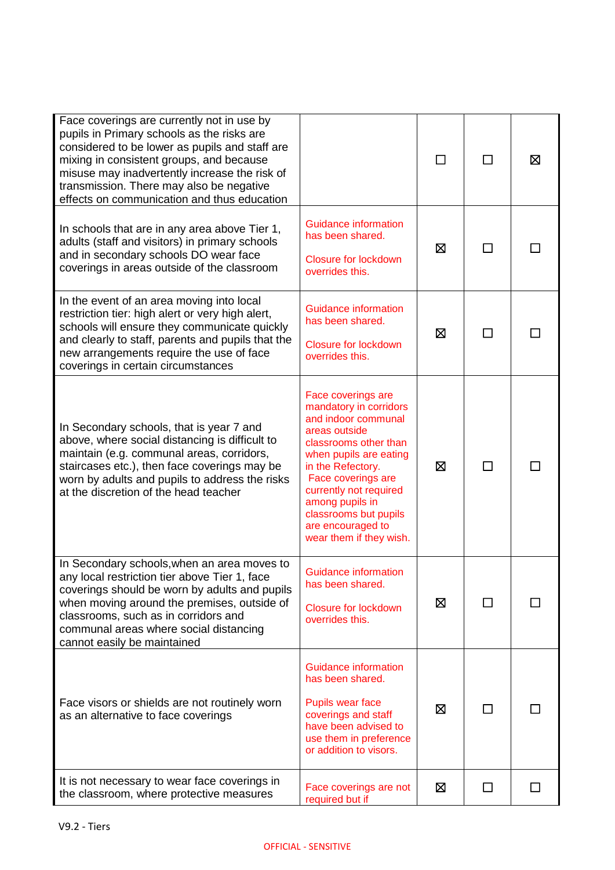| Face coverings are currently not in use by<br>pupils in Primary schools as the risks are<br>considered to be lower as pupils and staff are<br>mixing in consistent groups, and because<br>misuse may inadvertently increase the risk of<br>transmission. There may also be negative<br>effects on communication and thus education |                                                                                                                                                                                                                                                                                                          | П | П            | ⊠  |
|------------------------------------------------------------------------------------------------------------------------------------------------------------------------------------------------------------------------------------------------------------------------------------------------------------------------------------|----------------------------------------------------------------------------------------------------------------------------------------------------------------------------------------------------------------------------------------------------------------------------------------------------------|---|--------------|----|
| In schools that are in any area above Tier 1,<br>adults (staff and visitors) in primary schools<br>and in secondary schools DO wear face<br>coverings in areas outside of the classroom                                                                                                                                            | Guidance information<br>has been shared.<br><b>Closure for lockdown</b><br>overrides this.                                                                                                                                                                                                               | ⊠ |              |    |
| In the event of an area moving into local<br>restriction tier: high alert or very high alert,<br>schools will ensure they communicate quickly<br>and clearly to staff, parents and pupils that the<br>new arrangements require the use of face<br>coverings in certain circumstances                                               | Guidance information<br>has been shared.<br><b>Closure for lockdown</b><br>overrides this.                                                                                                                                                                                                               | ⊠ | П            | ΙI |
| In Secondary schools, that is year 7 and<br>above, where social distancing is difficult to<br>maintain (e.g. communal areas, corridors,<br>staircases etc.), then face coverings may be<br>worn by adults and pupils to address the risks<br>at the discretion of the head teacher                                                 | Face coverings are<br>mandatory in corridors<br>and indoor communal<br>areas outside<br>classrooms other than<br>when pupils are eating<br>in the Refectory.<br>Face coverings are<br>currently not required<br>among pupils in<br>classrooms but pupils<br>are encouraged to<br>wear them if they wish. | ⊠ | $\mathsf{L}$ |    |
| In Secondary schools, when an area moves to<br>any local restriction tier above Tier 1, face<br>coverings should be worn by adults and pupils<br>when moving around the premises, outside of<br>classrooms, such as in corridors and<br>communal areas where social distancing<br>cannot easily be maintained                      | <b>Guidance information</b><br>has been shared.<br><b>Closure for lockdown</b><br>overrides this.                                                                                                                                                                                                        | ⊠ | ΙI           |    |
| Face visors or shields are not routinely worn<br>as an alternative to face coverings                                                                                                                                                                                                                                               | Guidance information<br>has been shared.<br>Pupils wear face<br>coverings and staff<br>have been advised to<br>use them in preference<br>or addition to visors.                                                                                                                                          | ⊠ | ΙI           |    |
| It is not necessary to wear face coverings in<br>the classroom, where protective measures                                                                                                                                                                                                                                          | Face coverings are not<br>required but if                                                                                                                                                                                                                                                                | 区 | ΙI           |    |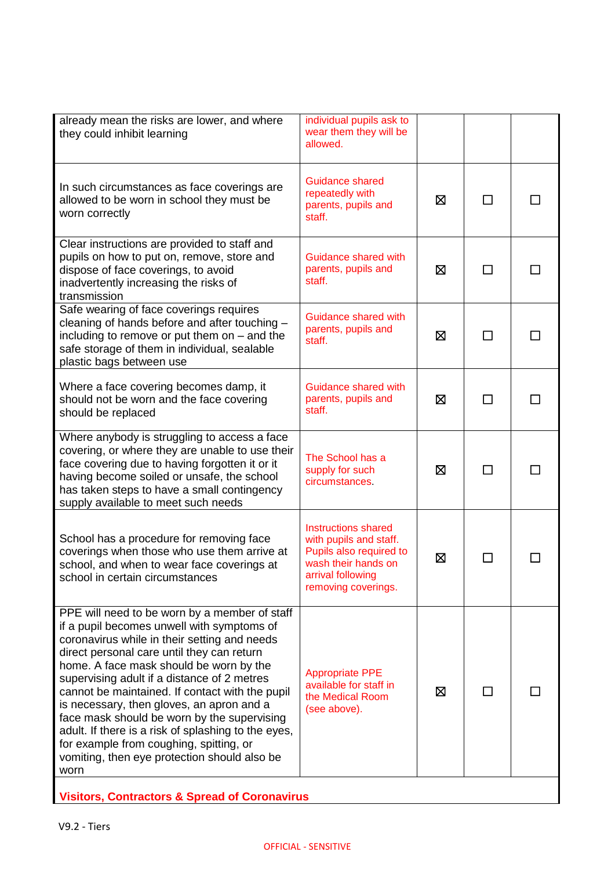| already mean the risks are lower, and where<br>they could inhibit learning                                                                                                                                                                                                                                                                                                                                                                                                                                                                                                                   | individual pupils ask to<br>wear them they will be<br>allowed.                                                                              |   |              |  |
|----------------------------------------------------------------------------------------------------------------------------------------------------------------------------------------------------------------------------------------------------------------------------------------------------------------------------------------------------------------------------------------------------------------------------------------------------------------------------------------------------------------------------------------------------------------------------------------------|---------------------------------------------------------------------------------------------------------------------------------------------|---|--------------|--|
| In such circumstances as face coverings are<br>allowed to be worn in school they must be<br>worn correctly                                                                                                                                                                                                                                                                                                                                                                                                                                                                                   | <b>Guidance shared</b><br>repeatedly with<br>parents, pupils and<br>staff.                                                                  | ⊠ | $\mathbf{L}$ |  |
| Clear instructions are provided to staff and<br>pupils on how to put on, remove, store and<br>dispose of face coverings, to avoid<br>inadvertently increasing the risks of<br>transmission                                                                                                                                                                                                                                                                                                                                                                                                   | Guidance shared with<br>parents, pupils and<br>staff.                                                                                       | ⊠ | П            |  |
| Safe wearing of face coverings requires<br>cleaning of hands before and after touching -<br>including to remove or put them on $-$ and the<br>safe storage of them in individual, sealable<br>plastic bags between use                                                                                                                                                                                                                                                                                                                                                                       | Guidance shared with<br>parents, pupils and<br>staff.                                                                                       | ⊠ |              |  |
| Where a face covering becomes damp, it<br>should not be worn and the face covering<br>should be replaced                                                                                                                                                                                                                                                                                                                                                                                                                                                                                     | Guidance shared with<br>parents, pupils and<br>staff.                                                                                       | ⊠ | $\mathsf{L}$ |  |
| Where anybody is struggling to access a face<br>covering, or where they are unable to use their<br>face covering due to having forgotten it or it<br>having become soiled or unsafe, the school<br>has taken steps to have a small contingency<br>supply available to meet such needs                                                                                                                                                                                                                                                                                                        | The School has a<br>supply for such<br>circumstances.                                                                                       | ⊠ |              |  |
| School has a procedure for removing face<br>coverings when those who use them arrive at<br>school, and when to wear face coverings at<br>school in certain circumstances                                                                                                                                                                                                                                                                                                                                                                                                                     | Instructions shared<br>with pupils and staff.<br>Pupils also required to<br>wash their hands on<br>arrival following<br>removing coverings. | ⊠ |              |  |
| PPE will need to be worn by a member of staff<br>if a pupil becomes unwell with symptoms of<br>coronavirus while in their setting and needs<br>direct personal care until they can return<br>home. A face mask should be worn by the<br>supervising adult if a distance of 2 metres<br>cannot be maintained. If contact with the pupil<br>is necessary, then gloves, an apron and a<br>face mask should be worn by the supervising<br>adult. If there is a risk of splashing to the eyes,<br>for example from coughing, spitting, or<br>vomiting, then eye protection should also be<br>worn | <b>Appropriate PPE</b><br>available for staff in<br>the Medical Room<br>(see above).                                                        | ⊠ | ΙI           |  |
| <b>Visitors, Contractors &amp; Spread of Coronavirus</b>                                                                                                                                                                                                                                                                                                                                                                                                                                                                                                                                     |                                                                                                                                             |   |              |  |

**Visitors, Contractors & Spread of Coronavirus**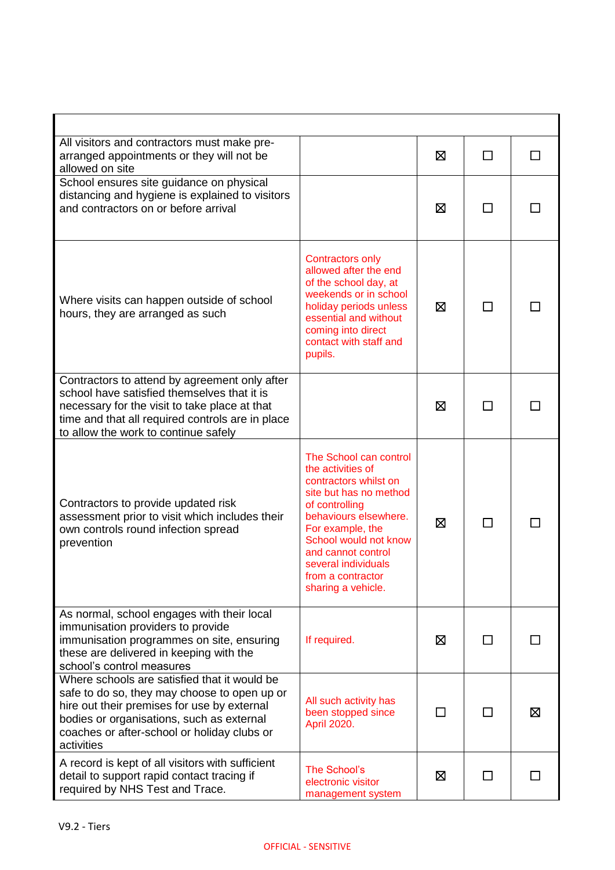| All visitors and contractors must make pre-<br>arranged appointments or they will not be<br>allowed on site                                                                                                                                           |                                                                                                                                                                                                                                                                                | ⊠ | П            |   |
|-------------------------------------------------------------------------------------------------------------------------------------------------------------------------------------------------------------------------------------------------------|--------------------------------------------------------------------------------------------------------------------------------------------------------------------------------------------------------------------------------------------------------------------------------|---|--------------|---|
| School ensures site guidance on physical<br>distancing and hygiene is explained to visitors<br>and contractors on or before arrival                                                                                                                   |                                                                                                                                                                                                                                                                                | ⊠ | П            |   |
| Where visits can happen outside of school<br>hours, they are arranged as such                                                                                                                                                                         | <b>Contractors only</b><br>allowed after the end<br>of the school day, at<br>weekends or in school<br>holiday periods unless<br>essential and without<br>coming into direct<br>contact with staff and<br>pupils.                                                               | ⊠ | П            |   |
| Contractors to attend by agreement only after<br>school have satisfied themselves that it is<br>necessary for the visit to take place at that<br>time and that all required controls are in place<br>to allow the work to continue safely             |                                                                                                                                                                                                                                                                                | ⊠ | $\mathsf{L}$ |   |
| Contractors to provide updated risk<br>assessment prior to visit which includes their<br>own controls round infection spread<br>prevention                                                                                                            | The School can control<br>the activities of<br>contractors whilst on<br>site but has no method<br>of controlling<br>behaviours elsewhere.<br>For example, the<br>School would not know<br>and cannot control<br>several individuals<br>from a contractor<br>sharing a vehicle. | 区 | П            |   |
| As normal, school engages with their local<br>immunisation providers to provide<br>immunisation programmes on site, ensuring<br>these are delivered in keeping with the<br>school's control measures                                                  | If required.                                                                                                                                                                                                                                                                   | X | $\Box$       |   |
| Where schools are satisfied that it would be<br>safe to do so, they may choose to open up or<br>hire out their premises for use by external<br>bodies or organisations, such as external<br>coaches or after-school or holiday clubs or<br>activities | All such activity has<br>been stopped since<br>April 2020.                                                                                                                                                                                                                     | П |              | ⊠ |
| A record is kept of all visitors with sufficient<br>detail to support rapid contact tracing if<br>required by NHS Test and Trace.                                                                                                                     | The School's<br>electronic visitor<br>management system                                                                                                                                                                                                                        | ⊠ | ΙI           |   |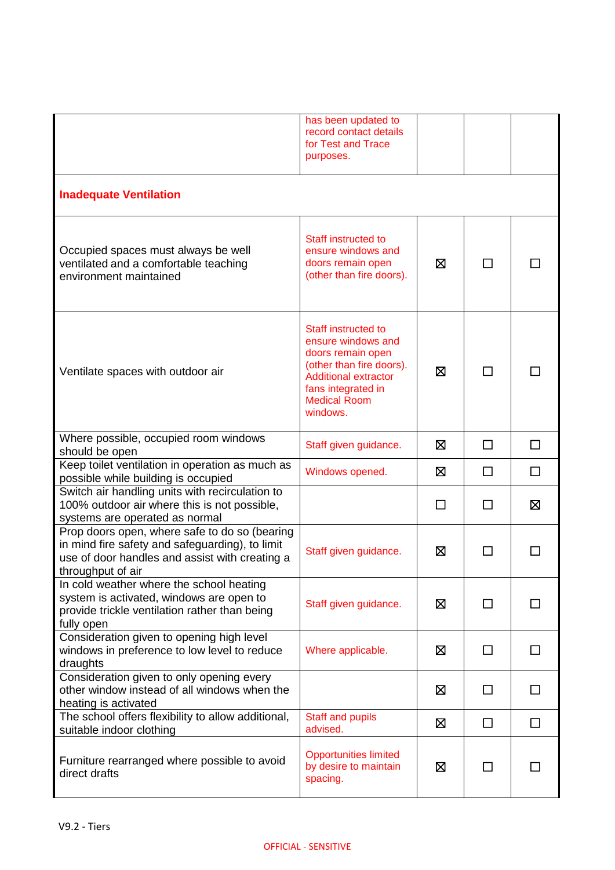|                                                                                                                                                                         | has been updated to<br>record contact details<br>for Test and Trace<br>purposes.                                                                                                          |   |              |    |
|-------------------------------------------------------------------------------------------------------------------------------------------------------------------------|-------------------------------------------------------------------------------------------------------------------------------------------------------------------------------------------|---|--------------|----|
| <b>Inadequate Ventilation</b>                                                                                                                                           |                                                                                                                                                                                           |   |              |    |
| Occupied spaces must always be well<br>ventilated and a comfortable teaching<br>environment maintained                                                                  | Staff instructed to<br>ensure windows and<br>doors remain open<br>(other than fire doors).                                                                                                | Ø | $\mathsf{L}$ |    |
| Ventilate spaces with outdoor air                                                                                                                                       | <b>Staff instructed to</b><br>ensure windows and<br>doors remain open<br>(other than fire doors).<br><b>Additional extractor</b><br>fans integrated in<br><b>Medical Room</b><br>windows. | ⊠ | П            |    |
| Where possible, occupied room windows<br>should be open                                                                                                                 | Staff given guidance.                                                                                                                                                                     | ⊠ | П            | П  |
| Keep toilet ventilation in operation as much as<br>possible while building is occupied                                                                                  | Windows opened.                                                                                                                                                                           | ⊠ | $\Box$       | □  |
| Switch air handling units with recirculation to<br>100% outdoor air where this is not possible,<br>systems are operated as normal                                       |                                                                                                                                                                                           | П | □            | Χ  |
| Prop doors open, where safe to do so (bearing<br>in mind fire safety and safeguarding), to limit<br>use of door handles and assist with creating a<br>throughput of air | Staff given guidance.                                                                                                                                                                     | ⊠ | ΙI           |    |
| In cold weather where the school heating<br>system is activated, windows are open to<br>provide trickle ventilation rather than being<br>fully open                     | Staff given guidance.                                                                                                                                                                     | ⊠ | □            | ΙI |
| Consideration given to opening high level<br>windows in preference to low level to reduce<br>draughts                                                                   | Where applicable.                                                                                                                                                                         | ⊠ | $\Box$       | П  |
| Consideration given to only opening every<br>other window instead of all windows when the<br>heating is activated                                                       |                                                                                                                                                                                           | ⊠ | □            | □  |
| The school offers flexibility to allow additional,<br>suitable indoor clothing                                                                                          | <b>Staff and pupils</b><br>advised.                                                                                                                                                       | ⊠ | $\Box$       | П  |
| Furniture rearranged where possible to avoid<br>direct drafts                                                                                                           | <b>Opportunities limited</b><br>by desire to maintain<br>spacing.                                                                                                                         | 区 | $\mathsf{L}$ |    |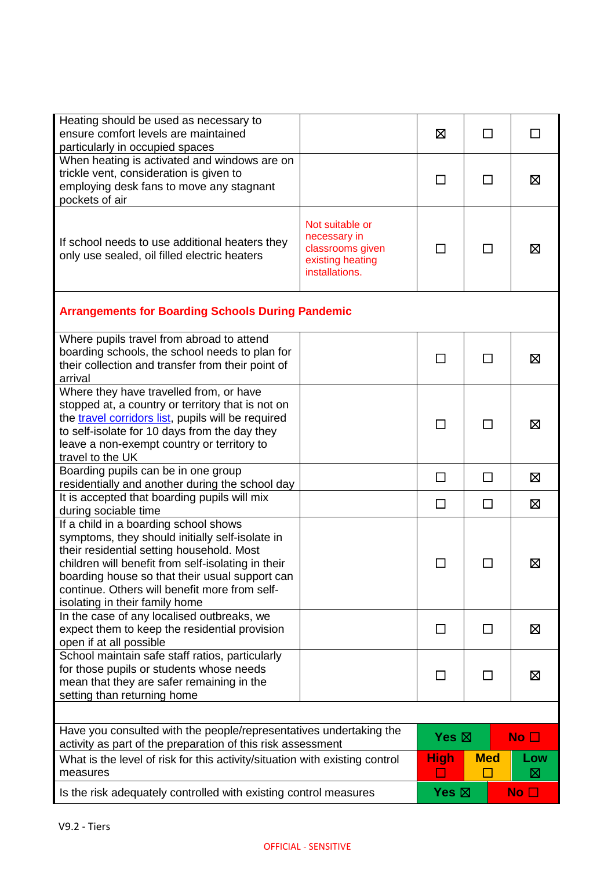| Heating should be used as necessary to<br>ensure comfort levels are maintained<br>particularly in occupied spaces                                                                                                                                                                                                                                        |                                                                                           | ⊠               | ΙI           | $\mathsf{L}$    |
|----------------------------------------------------------------------------------------------------------------------------------------------------------------------------------------------------------------------------------------------------------------------------------------------------------------------------------------------------------|-------------------------------------------------------------------------------------------|-----------------|--------------|-----------------|
| When heating is activated and windows are on<br>trickle vent, consideration is given to<br>employing desk fans to move any stagnant<br>pockets of air                                                                                                                                                                                                    |                                                                                           | П               | П            | Σ               |
| If school needs to use additional heaters they<br>only use sealed, oil filled electric heaters                                                                                                                                                                                                                                                           | Not suitable or<br>necessary in<br>classrooms given<br>existing heating<br>installations. |                 |              | Σ               |
| <b>Arrangements for Boarding Schools During Pandemic</b>                                                                                                                                                                                                                                                                                                 |                                                                                           |                 |              |                 |
| Where pupils travel from abroad to attend<br>boarding schools, the school needs to plan for<br>their collection and transfer from their point of<br>arrival                                                                                                                                                                                              |                                                                                           | □               | ΙI           | ⊠               |
| Where they have travelled from, or have<br>stopped at, a country or territory that is not on<br>the travel corridors list, pupils will be required<br>to self-isolate for 10 days from the day they<br>leave a non-exempt country or territory to<br>travel to the UK                                                                                    |                                                                                           |                 |              | ⊠               |
| Boarding pupils can be in one group<br>residentially and another during the school day                                                                                                                                                                                                                                                                   |                                                                                           | □               | □            | Σ               |
| It is accepted that boarding pupils will mix                                                                                                                                                                                                                                                                                                             |                                                                                           | П               | П            | $\boxtimes$     |
| during sociable time<br>If a child in a boarding school shows<br>symptoms, they should initially self-isolate in<br>their residential setting household. Most<br>children will benefit from self-isolating in their<br>boarding house so that their usual support can<br>continue. Others will benefit more from self-<br>isolating in their family home |                                                                                           |                 |              | ⊠               |
| In the case of any localised outbreaks, we<br>expect them to keep the residential provision<br>open if at all possible                                                                                                                                                                                                                                   |                                                                                           | $\mathsf{L}$    | $\perp$      | 区               |
| School maintain safe staff ratios, particularly<br>for those pupils or students whose needs<br>mean that they are safer remaining in the<br>setting than returning home                                                                                                                                                                                  |                                                                                           | □               | $\mathsf{L}$ | ⊠               |
|                                                                                                                                                                                                                                                                                                                                                          |                                                                                           |                 |              |                 |
| Have you consulted with the people/representatives undertaking the<br>activity as part of the preparation of this risk assessment                                                                                                                                                                                                                        |                                                                                           | Yes $\boxtimes$ |              | No $\square$    |
| What is the level of risk for this activity/situation with existing control<br>measures                                                                                                                                                                                                                                                                  |                                                                                           | <b>High</b>     | <b>Med</b>   | Low<br>⊠        |
| Is the risk adequately controlled with existing control measures                                                                                                                                                                                                                                                                                         |                                                                                           | Yes $\boxtimes$ |              | No <sub>1</sub> |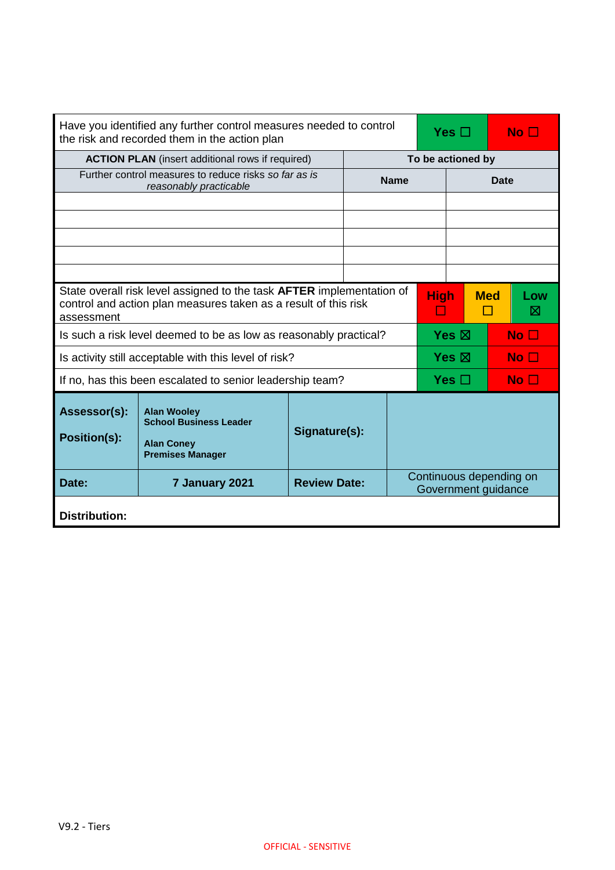|                                     | Have you identified any further control measures needed to control<br>the risk and recorded them in the action plan                      |                     |  | Yes $\Box$<br>$\mathsf{No} \ \square$          |             |                   |            |                 |
|-------------------------------------|------------------------------------------------------------------------------------------------------------------------------------------|---------------------|--|------------------------------------------------|-------------|-------------------|------------|-----------------|
|                                     | <b>ACTION PLAN</b> (insert additional rows if required)                                                                                  |                     |  |                                                |             | To be actioned by |            |                 |
|                                     | Further control measures to reduce risks so far as is<br>reasonably practicable                                                          |                     |  | <b>Name</b>                                    |             | Date              |            |                 |
|                                     |                                                                                                                                          |                     |  |                                                |             |                   |            |                 |
|                                     |                                                                                                                                          |                     |  |                                                |             |                   |            |                 |
|                                     |                                                                                                                                          |                     |  |                                                |             |                   |            |                 |
|                                     |                                                                                                                                          |                     |  |                                                |             |                   |            |                 |
|                                     |                                                                                                                                          |                     |  |                                                |             |                   |            |                 |
| assessment                          | State overall risk level assigned to the task AFTER implementation of<br>control and action plan measures taken as a result of this risk |                     |  |                                                | <b>High</b> |                   | <b>Med</b> | Low<br>⊠        |
|                                     | Is such a risk level deemed to be as low as reasonably practical?                                                                        |                     |  |                                                |             | Yes $\boxtimes$   |            | No <sub>1</sub> |
|                                     | Is activity still acceptable with this level of risk?                                                                                    |                     |  |                                                |             | Yes $\boxtimes$   |            | No $\Box$       |
|                                     | If no, has this been escalated to senior leadership team?                                                                                |                     |  |                                                |             | Yes $\Box$        |            | No $\Box$       |
| Assessor(s):<br><b>Position(s):</b> | <b>Alan Wooley</b><br><b>School Business Leader</b><br><b>Alan Coney</b><br><b>Premises Manager</b>                                      | Signature(s):       |  |                                                |             |                   |            |                 |
| Date:                               | 7 January 2021                                                                                                                           | <b>Review Date:</b> |  | Continuous depending on<br>Government guidance |             |                   |            |                 |
| <b>Distribution:</b>                |                                                                                                                                          |                     |  |                                                |             |                   |            |                 |